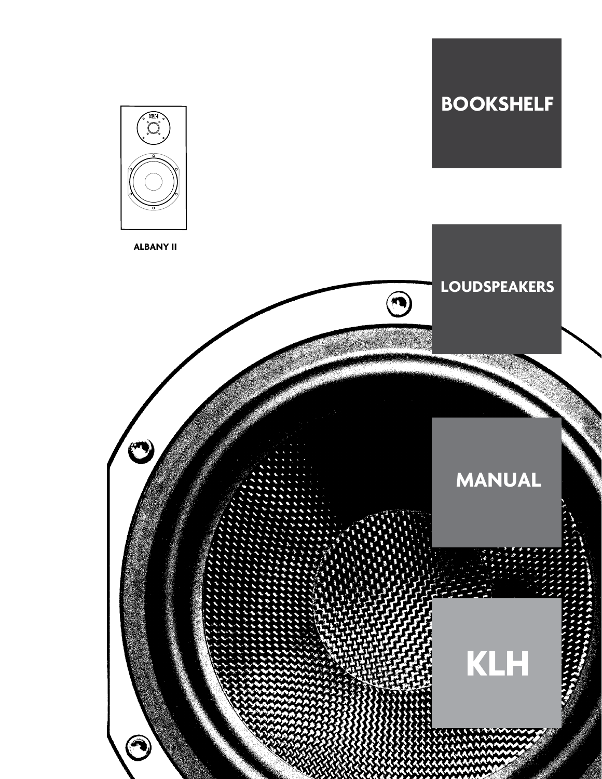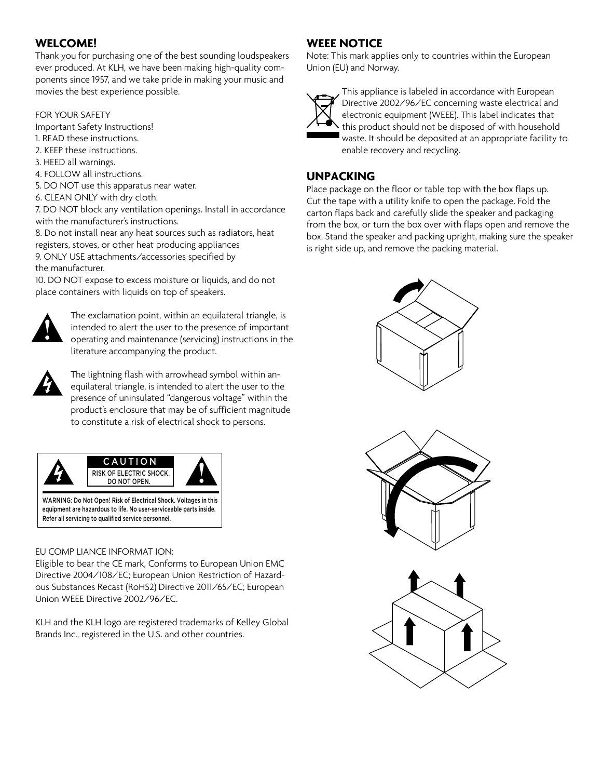## **WELCOME!**

Thank you for purchasing one of the best sounding loudspeakers ever produced. At KLH, we have been making high-quality components since 1957, and we take pride in making your music and movies the best experience possible.

#### FOR YOUR SAFETY

Important Safety Instructions!

- 1. READ these instructions.
- 2. KEEP these instructions.
- 3. HEED all warnings.
- 4. FOLLOW all instructions.
- 5. DO NOT use this apparatus near water.
- 6. CLEAN ONLY with dry cloth.

7. DO NOT block any ventilation openings. Install in accordance with the manufacturer's instructions.

8. Do not install near any heat sources such as radiators, heat registers, stoves, or other heat producing appliances 9. ONLY USE attachments/accessories specified by the manufacturer.

10. DO NOT expose to excess moisture or liquids, and do not place containers with liquids on top of speakers.



 The exclamation point, within an equilateral triangle, is intended to alert the user to the presence of important operating and maintenance (servicing) instructions in the literature accompanying the product.



 The lightning flash with arrowhead symbol within anequilateral triangle, is intended to alert the user to the presence of uninsulated "dangerous voltage" within the product's enclosure that may be of sufficient magnitude to constitute a risk of electrical shock to persons.



equipment are hazardous to life. No user-serviceable parts inside. Refer all servicing to qualified service personnel.

#### EU COMP LIANCE INFORMAT ION:

Eligible to bear the CE mark, Conforms to European Union EMC Directive 2004/108/EC; European Union Restriction of Hazardous Substances Recast (RoHS2) Directive 2011/65/EC; European Union WEEE Directive 2002/96/EC.

KLH and the KLH logo are registered trademarks of Kelley Global Brands Inc., registered in the U.S. and other countries.

### **WEEE NOTICE**

Note: This mark applies only to countries within the European Union (EU) and Norway.



 This appliance is labeled in accordance with European Directive 2002/96/EC concerning waste electrical and electronic equipment (WEEE). This label indicates that this product should not be disposed of with household waste. It should be deposited at an appropriate facility to enable recovery and recycling.

#### **UNPACKING**

Place package on the floor or table top with the box flaps up. Cut the tape with a utility knife to open the package. Fold the carton flaps back and carefully slide the speaker and packaging from the box, or turn the box over with flaps open and remove the box. Stand the speaker and packing upright, making sure the speaker is right side up, and remove the packing material.





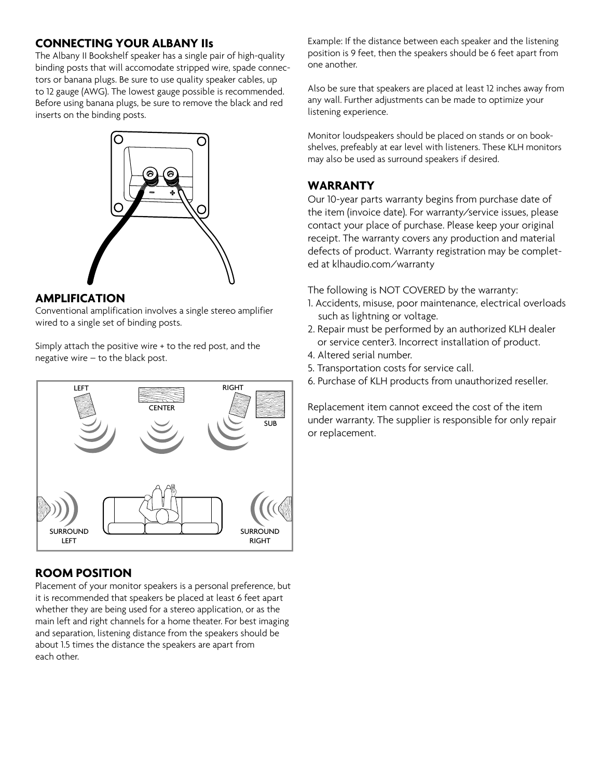#### **CONNECTING YOUR ALBANY IIs**

The Albany II Bookshelf speaker has a single pair of high-quality binding posts that will accomodate stripped wire, spade connectors or banana plugs. Be sure to use quality speaker cables, up to 12 gauge (AWG). The lowest gauge possible is recommended. Before using banana plugs, be sure to remove the black and red inserts on the binding posts.



#### **AMPLIFICATION**

Conventional amplification involves a single stereo amplifier wired to a single set of binding posts.

Simply attach the positive wire + to the red post, and the negative wire – to the black post.



# **ROOM POSITION**

Placement of your monitor speakers is a personal preference, but it is recommended that speakers be placed at least 6 feet apart whether they are being used for a stereo application, or as the main left and right channels for a home theater. For best imaging and separation, listening distance from the speakers should be about 1.5 times the distance the speakers are apart from each other.

Example: If the distance between each speaker and the listening position is 9 feet, then the speakers should be 6 feet apart from one another.

Also be sure that speakers are placed at least 12 inches away from any wall. Further adjustments can be made to optimize your listening experience.

Monitor loudspeakers should be placed on stands or on bookshelves, prefeably at ear level with listeners. These KLH monitors may also be used as surround speakers if desired.

### **WARRANTY**

Our 10-year parts warranty begins from purchase date of the item (invoice date). For warranty/service issues, please contact your place of purchase. Please keep your original receipt. The warranty covers any production and material defects of product. Warranty registration may be completed at klhaudio.com/warranty

The following is NOT COVERED by the warranty:

- 1. Accidents, misuse, poor maintenance, electrical overloads such as lightning or voltage.
- 2. Repair must be performed by an authorized KLH dealer or service center3. Incorrect installation of product.
- 4. Altered serial number.
- 5. Transportation costs for service call.
- 6. Purchase of KLH products from unauthorized reseller.

Replacement item cannot exceed the cost of the item under warranty. The supplier is responsible for only repair or replacement.